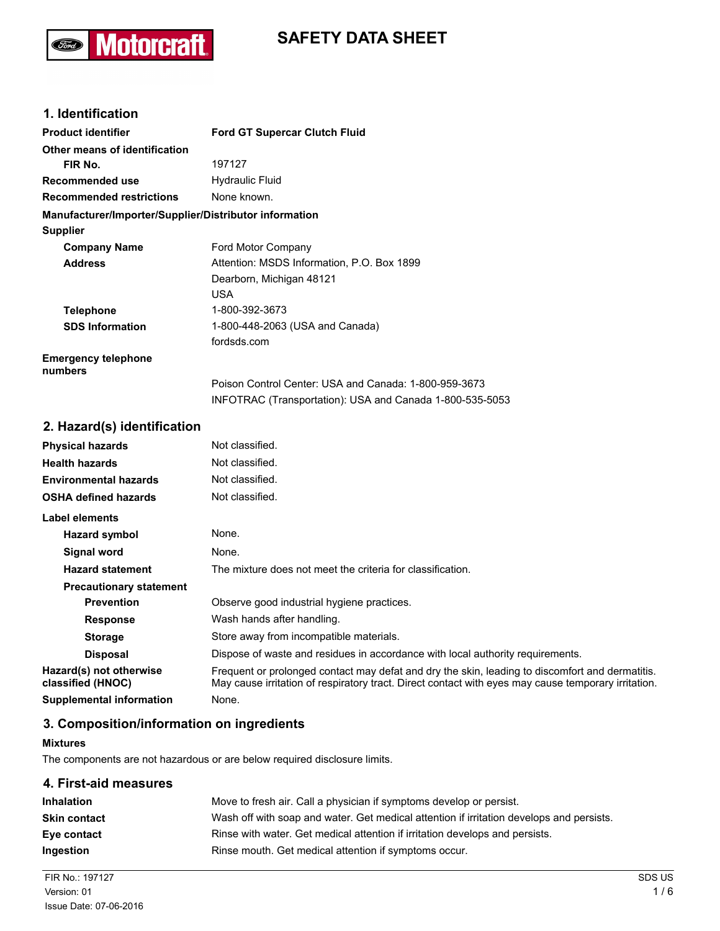## **Motorcraft** (Ford)

# **SAFETY DATA SHEET**

## **1. Identification**

| <b>Product identifier</b>                              | <b>Ford GT Supercar Clutch Fluid</b>                     |
|--------------------------------------------------------|----------------------------------------------------------|
| Other means of identification                          |                                                          |
| FIR No.                                                | 197127                                                   |
| Recommended use                                        | <b>Hydraulic Fluid</b>                                   |
| <b>Recommended restrictions</b>                        | None known.                                              |
| Manufacturer/Importer/Supplier/Distributor information |                                                          |
| <b>Supplier</b>                                        |                                                          |
| <b>Company Name</b>                                    | Ford Motor Company                                       |
| <b>Address</b>                                         | Attention: MSDS Information, P.O. Box 1899               |
|                                                        | Dearborn, Michigan 48121                                 |
|                                                        | <b>USA</b>                                               |
| <b>Telephone</b>                                       | 1-800-392-3673                                           |
| <b>SDS Information</b>                                 | 1-800-448-2063 (USA and Canada)                          |
|                                                        | fordsds.com                                              |
| <b>Emergency telephone</b><br>numbers                  |                                                          |
|                                                        | Poison Control Center: USA and Canada: 1-800-959-3673    |
|                                                        | INFOTRAC (Transportation): USA and Canada 1-800-535-5053 |

## **2. Hazard(s) identification**

| <b>Physical hazards</b>                      | Not classified.                                                                                                                                                                                        |
|----------------------------------------------|--------------------------------------------------------------------------------------------------------------------------------------------------------------------------------------------------------|
| <b>Health hazards</b>                        | Not classified.                                                                                                                                                                                        |
| <b>Environmental hazards</b>                 | Not classified.                                                                                                                                                                                        |
| <b>OSHA defined hazards</b>                  | Not classified.                                                                                                                                                                                        |
| Label elements                               |                                                                                                                                                                                                        |
| Hazard symbol                                | None.                                                                                                                                                                                                  |
| Signal word                                  | None.                                                                                                                                                                                                  |
| <b>Hazard statement</b>                      | The mixture does not meet the criteria for classification.                                                                                                                                             |
| <b>Precautionary statement</b>               |                                                                                                                                                                                                        |
| <b>Prevention</b>                            | Observe good industrial hygiene practices.                                                                                                                                                             |
| <b>Response</b>                              | Wash hands after handling.                                                                                                                                                                             |
| <b>Storage</b>                               | Store away from incompatible materials.                                                                                                                                                                |
| <b>Disposal</b>                              | Dispose of waste and residues in accordance with local authority requirements.                                                                                                                         |
| Hazard(s) not otherwise<br>classified (HNOC) | Frequent or prolonged contact may defat and dry the skin, leading to discomfort and dermatitis.<br>May cause irritation of respiratory tract. Direct contact with eyes may cause temporary irritation. |
| <b>Supplemental information</b>              | None.                                                                                                                                                                                                  |

## **3. Composition/information on ingredients**

### **Mixtures**

The components are not hazardous or are below required disclosure limits.

## **4. First-aid measures**

| <b>Inhalation</b>   | Move to fresh air. Call a physician if symptoms develop or persist.                      |
|---------------------|------------------------------------------------------------------------------------------|
| <b>Skin contact</b> | Wash off with soap and water. Get medical attention if irritation develops and persists. |
| Eye contact         | Rinse with water. Get medical attention if irritation develops and persists.             |
| <b>Ingestion</b>    | Rinse mouth. Get medical attention if symptoms occur.                                    |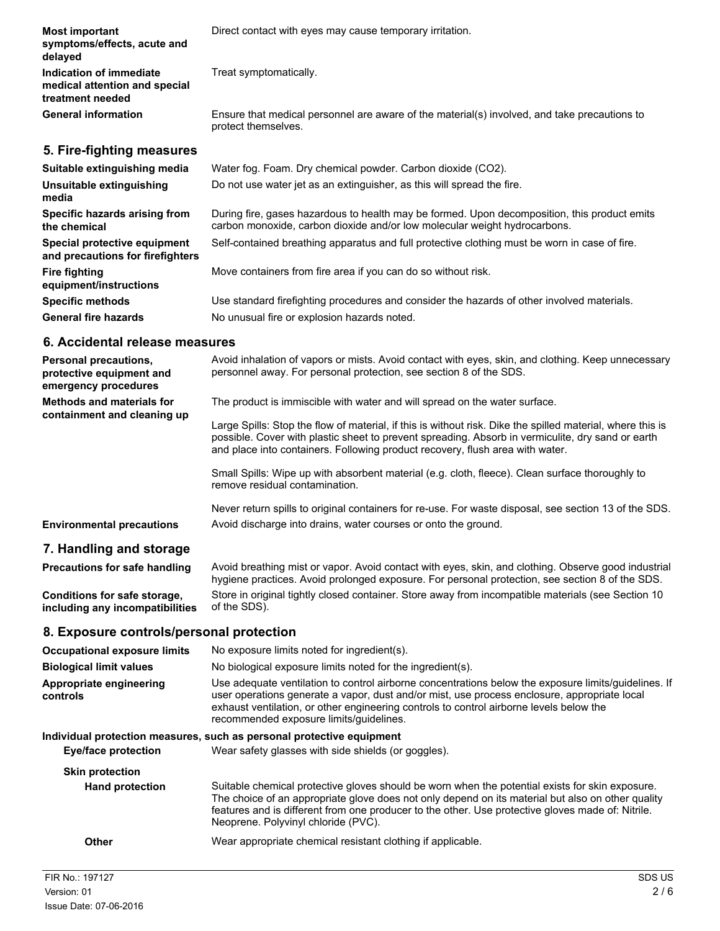| <b>Most important</b><br>symptoms/effects, acute and<br>delayed              | Direct contact with eyes may cause temporary irritation.                                                                                                                  |
|------------------------------------------------------------------------------|---------------------------------------------------------------------------------------------------------------------------------------------------------------------------|
| Indication of immediate<br>medical attention and special<br>treatment needed | Treat symptomatically.                                                                                                                                                    |
| <b>General information</b>                                                   | Ensure that medical personnel are aware of the material(s) involved, and take precautions to<br>protect themselves.                                                       |
| 5. Fire-fighting measures                                                    |                                                                                                                                                                           |
| Suitable extinguishing media                                                 | Water fog. Foam. Dry chemical powder. Carbon dioxide (CO2).                                                                                                               |
| Unsuitable extinguishing<br>media                                            | Do not use water jet as an extinguisher, as this will spread the fire.                                                                                                    |
| Specific hazards arising from<br>the chemical                                | During fire, gases hazardous to health may be formed. Upon decomposition, this product emits<br>carbon monoxide, carbon dioxide and/or low molecular weight hydrocarbons. |
| Special protective equipment<br>and precautions for firefighters             | Self-contained breathing apparatus and full protective clothing must be worn in case of fire.                                                                             |
| <b>Fire fighting</b><br>equipment/instructions                               | Move containers from fire area if you can do so without risk.                                                                                                             |
| <b>Specific methods</b>                                                      | Use standard firefighting procedures and consider the hazards of other involved materials.                                                                                |
| <b>General fire hazards</b>                                                  | No unusual fire or explosion hazards noted.                                                                                                                               |

## **6. Accidental release measures**

| <b>Personal precautions.</b><br>protective equipment and<br>emergency procedures | Avoid inhalation of vapors or mists. Avoid contact with eyes, skin, and clothing. Keep unnecessary<br>personnel away. For personal protection, see section 8 of the SDS.                                                                                                                         |
|----------------------------------------------------------------------------------|--------------------------------------------------------------------------------------------------------------------------------------------------------------------------------------------------------------------------------------------------------------------------------------------------|
| <b>Methods and materials for</b><br>containment and cleaning up                  | The product is immiscible with water and will spread on the water surface.                                                                                                                                                                                                                       |
|                                                                                  | Large Spills: Stop the flow of material, if this is without risk. Dike the spilled material, where this is<br>possible. Cover with plastic sheet to prevent spreading. Absorb in vermiculite, dry sand or earth<br>and place into containers. Following product recovery, flush area with water. |
|                                                                                  | Small Spills: Wipe up with absorbent material (e.g. cloth, fleece). Clean surface thoroughly to<br>remove residual contamination.                                                                                                                                                                |
|                                                                                  | Never return spills to original containers for re-use. For waste disposal, see section 13 of the SDS.                                                                                                                                                                                            |
| <b>Environmental precautions</b>                                                 | Avoid discharge into drains, water courses or onto the ground.                                                                                                                                                                                                                                   |
| 7. Handling and storage                                                          |                                                                                                                                                                                                                                                                                                  |
| <b>Precautions for safe handling</b>                                             | Avoid breathing mist or vapor. Avoid contact with eyes, skin, and clothing. Observe good industrial                                                                                                                                                                                              |

Avoid breathing mist or vapor. Avoid contact with eyes, skin, and clothing. Observe good industrial hygiene practices. Avoid prolonged exposure. For personal protection, see section 8 of the SDS. Store in original tightly closed container. Store away from incompatible materials (see Section 10 of the SDS). **Conditions for safe storage, including any incompatibilities**

## **8. Exposure controls/personal protection**

| <b>Occupational exposure limits</b> | No exposure limits noted for ingredient(s).                                                                                                                                                                                                                                                                                                      |
|-------------------------------------|--------------------------------------------------------------------------------------------------------------------------------------------------------------------------------------------------------------------------------------------------------------------------------------------------------------------------------------------------|
| <b>Biological limit values</b>      | No biological exposure limits noted for the ingredient(s).                                                                                                                                                                                                                                                                                       |
| Appropriate engineering<br>controls | Use adequate ventilation to control airborne concentrations below the exposure limits/quidelines. If<br>user operations generate a vapor, dust and/or mist, use process enclosure, appropriate local<br>exhaust ventilation, or other engineering controls to control airborne levels below the<br>recommended exposure limits/guidelines.       |
|                                     | Individual protection measures, such as personal protective equipment                                                                                                                                                                                                                                                                            |
| Eye/face protection                 | Wear safety glasses with side shields (or goggles).                                                                                                                                                                                                                                                                                              |
| <b>Skin protection</b>              |                                                                                                                                                                                                                                                                                                                                                  |
| <b>Hand protection</b>              | Suitable chemical protective gloves should be worn when the potential exists for skin exposure.<br>The choice of an appropriate glove does not only depend on its material but also on other quality<br>features and is different from one producer to the other. Use protective gloves made of: Nitrile.<br>Neoprene. Polyvinyl chloride (PVC). |
| Other                               | Wear appropriate chemical resistant clothing if applicable.                                                                                                                                                                                                                                                                                      |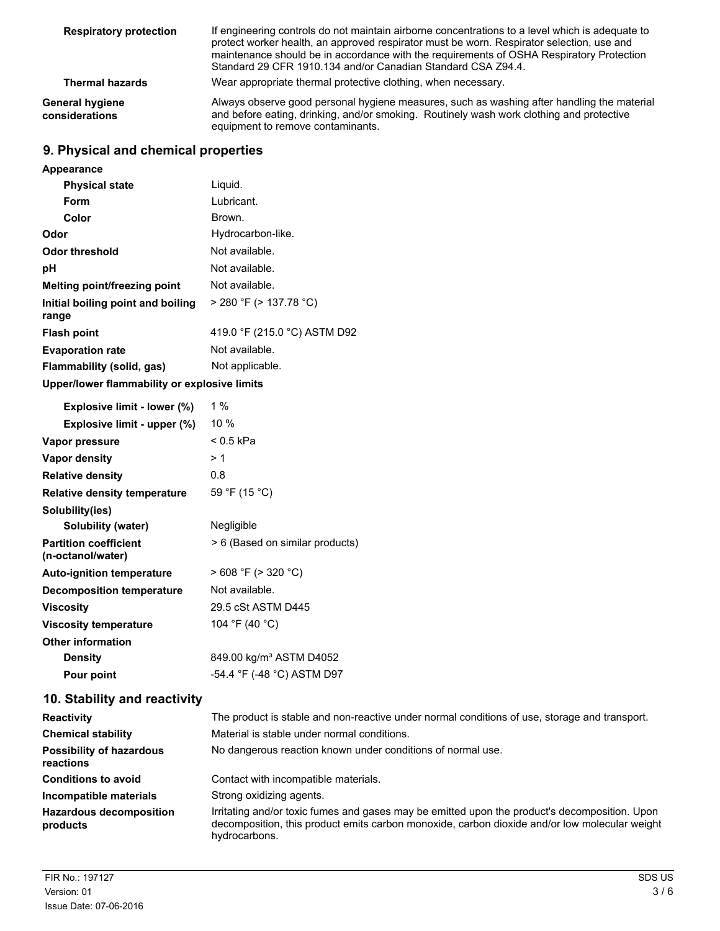| <b>Respiratory protection</b>     | If engineering controls do not maintain airborne concentrations to a level which is adequate to<br>protect worker health, an approved respirator must be worn. Respirator selection, use and<br>maintenance should be in accordance with the requirements of OSHA Respiratory Protection<br>Standard 29 CFR 1910.134 and/or Canadian Standard CSA Z94.4. |
|-----------------------------------|----------------------------------------------------------------------------------------------------------------------------------------------------------------------------------------------------------------------------------------------------------------------------------------------------------------------------------------------------------|
| <b>Thermal hazards</b>            | Wear appropriate thermal protective clothing, when necessary.                                                                                                                                                                                                                                                                                            |
| General hygiene<br>considerations | Always observe good personal hygiene measures, such as washing after handling the material<br>and before eating, drinking, and/or smoking. Routinely wash work clothing and protective<br>equipment to remove contaminants.                                                                                                                              |

## **9. Physical and chemical properties**

| Appearance                                   |                              |
|----------------------------------------------|------------------------------|
| <b>Physical state</b>                        | Liquid.                      |
| Form                                         | Lubricant.                   |
| Color                                        | Brown.                       |
| Odor                                         | Hydrocarbon-like.            |
| Odor threshold                               | Not available.               |
| рH                                           | Not available.               |
| <b>Melting point/freezing point</b>          | Not available.               |
| Initial boiling point and boiling<br>range   | $>$ 280 °F ( $>$ 137.78 °C)  |
| <b>Flash point</b>                           | 419.0 °F (215.0 °C) ASTM D92 |
| <b>Evaporation rate</b>                      | Not available.               |
| Flammability (solid, gas)                    | Not applicable.              |
| Upper/lower flammability or explosive limits |                              |

| Explosive limit - lower (%)                       | $1\%$                               |
|---------------------------------------------------|-------------------------------------|
| Explosive limit - upper (%)                       | 10 $%$                              |
| Vapor pressure                                    | < 0.5 kPa                           |
| Vapor density                                     | >1                                  |
| <b>Relative density</b>                           | 0.8                                 |
| <b>Relative density temperature</b>               | 59 °F (15 °C)                       |
| Solubility(ies)                                   |                                     |
| Solubility (water)                                | Negligible                          |
| <b>Partition coefficient</b><br>(n-octanol/water) | > 6 (Based on similar products)     |
| <b>Auto-ignition temperature</b>                  | $>608$ °F ( $>320$ °C)              |
| <b>Decomposition temperature</b>                  | Not available.                      |
| <b>Viscosity</b>                                  | 29.5 cSt ASTM D445                  |
| <b>Viscosity temperature</b>                      | 104 °F (40 °C)                      |
| <b>Other information</b>                          |                                     |
| <b>Density</b>                                    | 849.00 kg/m <sup>3</sup> ASTM D4052 |
| Pour point                                        | -54.4 °F (-48 °C) ASTM D97          |

## **10. Stability and reactivity**

| <b>Reactivity</b>                            | The product is stable and non-reactive under normal conditions of use, storage and transport.                                                                                                                   |
|----------------------------------------------|-----------------------------------------------------------------------------------------------------------------------------------------------------------------------------------------------------------------|
| <b>Chemical stability</b>                    | Material is stable under normal conditions.                                                                                                                                                                     |
| <b>Possibility of hazardous</b><br>reactions | No dangerous reaction known under conditions of normal use.                                                                                                                                                     |
| <b>Conditions to avoid</b>                   | Contact with incompatible materials.                                                                                                                                                                            |
| Incompatible materials                       | Strong oxidizing agents.                                                                                                                                                                                        |
| <b>Hazardous decomposition</b><br>products   | Irritating and/or toxic fumes and gases may be emitted upon the product's decomposition. Upon<br>decomposition, this product emits carbon monoxide, carbon dioxide and/or low molecular weight<br>hydrocarbons. |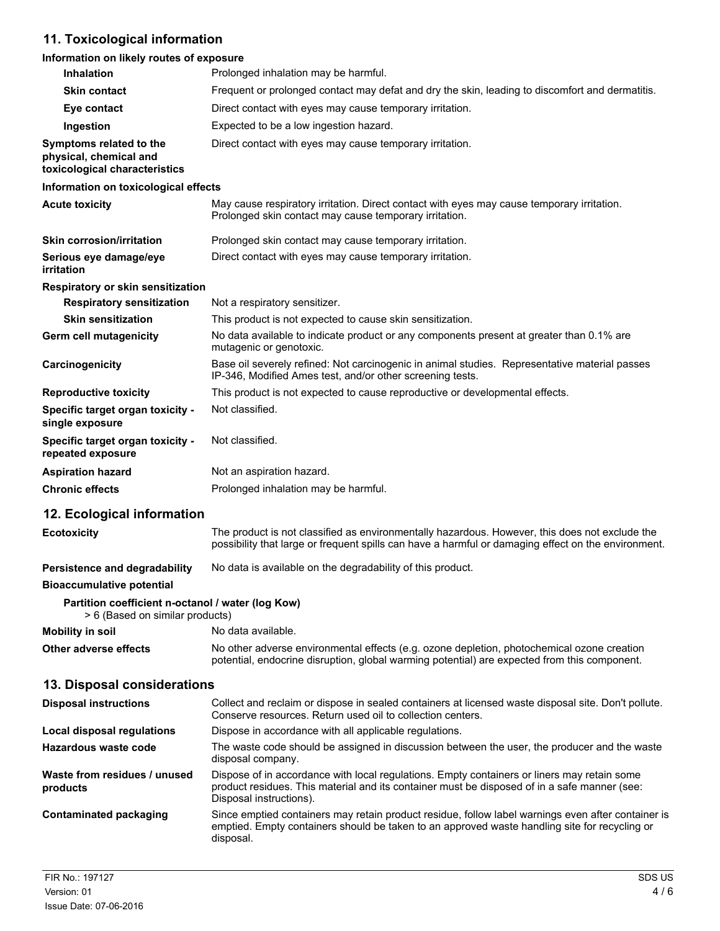## **11. Toxicological information**

## **Information on likely routes of exposure**

| Inhalation                                                                           | Prolonged inhalation may be harmful.                                                                                                                                                                                   |
|--------------------------------------------------------------------------------------|------------------------------------------------------------------------------------------------------------------------------------------------------------------------------------------------------------------------|
| <b>Skin contact</b>                                                                  | Frequent or prolonged contact may defat and dry the skin, leading to discomfort and dermatitis.                                                                                                                        |
| Eye contact                                                                          | Direct contact with eyes may cause temporary irritation.                                                                                                                                                               |
| Ingestion                                                                            | Expected to be a low ingestion hazard.                                                                                                                                                                                 |
| Symptoms related to the<br>physical, chemical and<br>toxicological characteristics   | Direct contact with eyes may cause temporary irritation.                                                                                                                                                               |
| Information on toxicological effects                                                 |                                                                                                                                                                                                                        |
| <b>Acute toxicity</b>                                                                | May cause respiratory irritation. Direct contact with eyes may cause temporary irritation.<br>Prolonged skin contact may cause temporary irritation.                                                                   |
| <b>Skin corrosion/irritation</b>                                                     | Prolonged skin contact may cause temporary irritation.                                                                                                                                                                 |
| Serious eye damage/eye<br>irritation                                                 | Direct contact with eyes may cause temporary irritation.                                                                                                                                                               |
| Respiratory or skin sensitization                                                    |                                                                                                                                                                                                                        |
| <b>Respiratory sensitization</b>                                                     | Not a respiratory sensitizer.                                                                                                                                                                                          |
| <b>Skin sensitization</b>                                                            | This product is not expected to cause skin sensitization.                                                                                                                                                              |
| Germ cell mutagenicity                                                               | No data available to indicate product or any components present at greater than 0.1% are<br>mutagenic or genotoxic.                                                                                                    |
| Carcinogenicity                                                                      | Base oil severely refined: Not carcinogenic in animal studies. Representative material passes<br>IP-346, Modified Ames test, and/or other screening tests.                                                             |
| <b>Reproductive toxicity</b>                                                         | This product is not expected to cause reproductive or developmental effects.                                                                                                                                           |
| Specific target organ toxicity -<br>single exposure                                  | Not classified.                                                                                                                                                                                                        |
| Specific target organ toxicity -<br>repeated exposure                                | Not classified.                                                                                                                                                                                                        |
| <b>Aspiration hazard</b>                                                             | Not an aspiration hazard.                                                                                                                                                                                              |
| <b>Chronic effects</b>                                                               | Prolonged inhalation may be harmful.                                                                                                                                                                                   |
| 12. Ecological information                                                           |                                                                                                                                                                                                                        |
| <b>Ecotoxicity</b>                                                                   | The product is not classified as environmentally hazardous. However, this does not exclude the<br>possibility that large or frequent spills can have a harmful or damaging effect on the environment.                  |
| Persistence and degradability                                                        | No data is available on the degradability of this product.                                                                                                                                                             |
| <b>Bioaccumulative potential</b>                                                     |                                                                                                                                                                                                                        |
| Partition coefficient n-octanol / water (log Kow)<br>> 6 (Based on similar products) |                                                                                                                                                                                                                        |
| <b>Mobility in soil</b>                                                              | No data available.                                                                                                                                                                                                     |
| <b>Other adverse effects</b>                                                         | No other adverse environmental effects (e.g. ozone depletion, photochemical ozone creation<br>potential, endocrine disruption, global warming potential) are expected from this component.                             |
| 13. Disposal considerations                                                          |                                                                                                                                                                                                                        |
| <b>Disposal instructions</b>                                                         | Collect and reclaim or dispose in sealed containers at licensed waste disposal site. Don't pollute.<br>Conserve resources. Return used oil to collection centers.                                                      |
| <b>Local disposal regulations</b>                                                    | Dispose in accordance with all applicable regulations.                                                                                                                                                                 |
| <b>Hazardous waste code</b>                                                          | The waste code should be assigned in discussion between the user, the producer and the waste<br>disposal company.                                                                                                      |
| Waste from residues / unused<br>products                                             | Dispose of in accordance with local regulations. Empty containers or liners may retain some<br>product residues. This material and its container must be disposed of in a safe manner (see:<br>Disposal instructions). |
| <b>Contaminated packaging</b>                                                        | Since emptied containers may retain product residue, follow label warnings even after container is<br>emptied. Empty containers should be taken to an approved waste handling site for recycling or<br>disposal.       |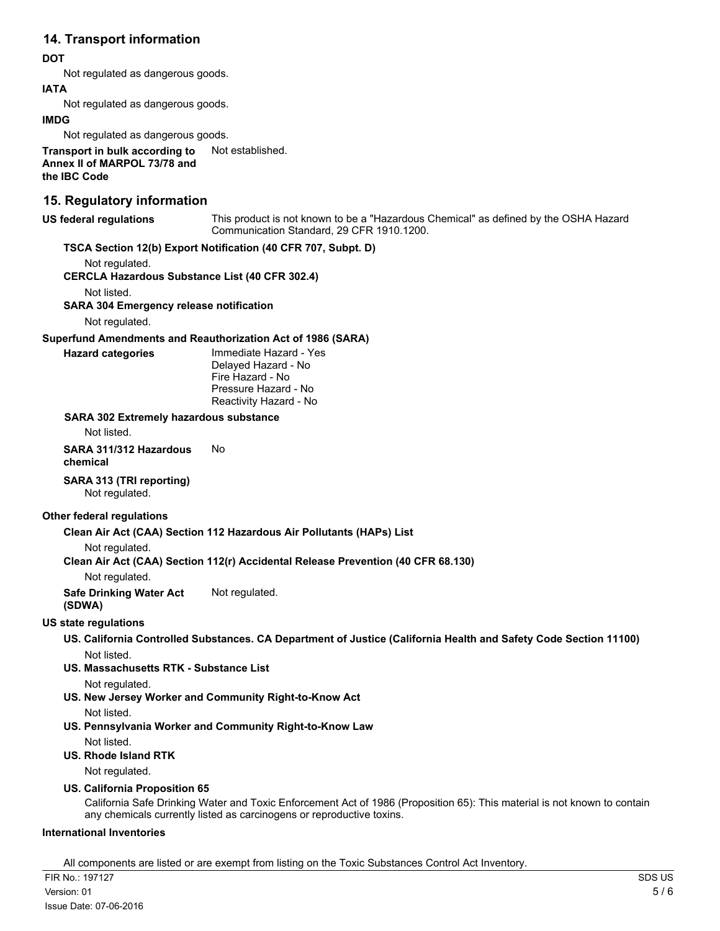## **14. Transport information**

#### **DOT**

Not regulated as dangerous goods.

#### **IATA**

Not regulated as dangerous goods.

#### **IMDG**

Not regulated as dangerous goods.

**Transport in bulk according to** Not established. **Annex II of MARPOL 73/78 and the IBC Code**

## **15. Regulatory information**

#### **US federal regulations**

This product is not known to be a "Hazardous Chemical" as defined by the OSHA Hazard Communication Standard, 29 CFR 1910.1200.

## **TSCA Section 12(b) Export Notification (40 CFR 707, Subpt. D)**

Not regulated.

**CERCLA Hazardous Substance List (40 CFR 302.4)**

Not listed.

**SARA 304 Emergency release notification**

Not regulated.

#### **Superfund Amendments and Reauthorization Act of 1986 (SARA)**

**Hazard categories**

Immediate Hazard - Yes Delayed Hazard - No Fire Hazard - No Pressure Hazard - No Reactivity Hazard - No

#### **SARA 302 Extremely hazardous substance**

Not listed.

**SARA 311/312 Hazardous** No **chemical**

## **SARA 313 (TRI reporting)**

Not regulated.

### **Other federal regulations**

### **Clean Air Act (CAA) Section 112 Hazardous Air Pollutants (HAPs) List**

Not regulated.

### **Clean Air Act (CAA) Section 112(r) Accidental Release Prevention (40 CFR 68.130)**

Not regulated.

**Safe Drinking Water Act** Not regulated.

## **(SDWA)**

### **US state regulations**

**US. California Controlled Substances. CA Department of Justice (California Health and Safety Code Section 11100)** Not listed.

**US. Massachusetts RTK - Substance List**

Not regulated.

**US. New Jersey Worker and Community Right-to-Know Act**

Not listed.

**US. Pennsylvania Worker and Community Right-to-Know Law** Not listed.

**US. Rhode Island RTK**

Not regulated.

### **US. California Proposition 65**

California Safe Drinking Water and Toxic Enforcement Act of 1986 (Proposition 65): This material is not known to contain any chemicals currently listed as carcinogens or reproductive toxins.

### **International Inventories**

All components are listed or are exempt from listing on the Toxic Substances Control Act Inventory.